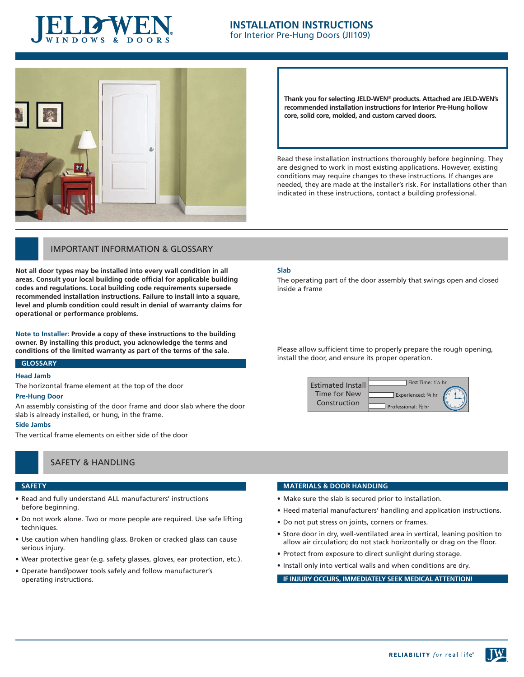

### **INSTALLATION INSTRUCTIONS** for Interior Pre-Hung Doors (JII109)



**Thank you for selecting JELD-WEN**® **products. Attached are JELD-WEN's recommended installation instructions for Interior Pre-Hung hollow core, solid core, molded, and custom carved doors.** 

Read these installation instructions thoroughly before beginning. They are designed to work in most existing applications. However, existing conditions may require changes to these instructions. If changes are needed, they are made at the installer's risk. For installations other than indicated in these instructions, contact a building professional.

## Important Information & Glossary

**Not all door types may be installed into every wall condition in all areas. Consult your local building code official for applicable building codes and regulations. Local building code requirements supersede recommended installation instructions. Failure to install into a square, level and plumb condition could result in denial of warranty claims for operational or performance problems.**

**Note to Installer: Provide a copy of these instructions to the building owner. By installing this product, you acknowledge the terms and conditions of the limited warranty as part of the terms of the sale.**

### **Glossary**

### **Head Jamb**

The horizontal frame element at the top of the door

#### **Pre-Hung Door**

An assembly consisting of the door frame and door slab where the door slab is already installed, or hung, in the frame.

### **Side Jambs**

The vertical frame elements on either side of the door

# Safety & handling

### **safety**

- Read and fully understand ALL manufacturers' instructions before beginning.
- Do not work alone. Two or more people are required. Use safe lifting techniques.
- Use caution when handling glass. Broken or cracked glass can cause serious injury.
- • Wear protective gear (e.g. safety glasses, gloves, ear protection, etc.).
- • Operate hand/power tools safely and follow manufacturer's operating instructions.

#### **Slab**

The operating part of the door assembly that swings open and closed inside a frame

Please allow sufficient time to properly prepare the rough opening, install the door, and ensure its proper operation.



#### **MATERIALS & DOOR HANDLING**

- Make sure the slab is secured prior to installation.
- Heed material manufacturers' handling and application instructions.
- Do not put stress on joints, corners or frames.
- Store door in dry, well-ventilated area in vertical, leaning position to allow air circulation; do not stack horizontally or drag on the floor.
- Protect from exposure to direct sunlight during storage.
- Install only into vertical walls and when conditions are dry.

**If injury occurs, immediately seek medical attention!**

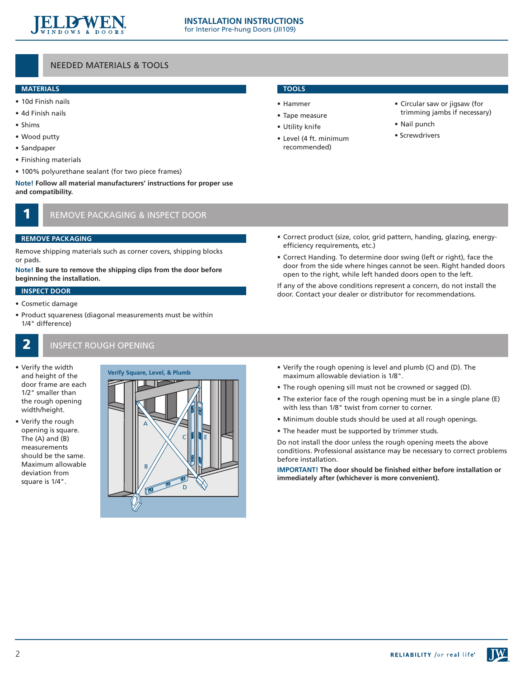

# Needed Materials & tools

### **Materials**

- • 10d Finish nails
- • 4d Finish nails
- • Shims
- • Wood putty
- • Sandpaper
- • Finishing materials
- 100% polyurethane sealant (for two piece frames)

**Note! Follow all material manufacturers' instructions for proper use and compatibility.**

# REMOVE PACKAGING & INSPECT DOOR

### **remove packaging**

Remove shipping materials such as corner covers, shipping blocks or pads.

**Note! Be sure to remove the shipping clips from the door before beginning the installation.**

### **Inspect DOOR**

- • Cosmetic damage
- • Product squareness (diagonal measurements must be within 1/4" difference)
	-

# **2** INSPECT ROUGH OPENING

- • Verify the width and height of the door frame are each 1/2" smaller than the rough opening width/height.
- • Verify the rough opening is square. The (A) and (B) measurements should be the same. Maximum allowable deviation from square is 1/4".



# **Tools**

- • Hammer
- • Tape measure
- • Utility knife
- • Level (4 ft. minimum recommended)
- • Circular saw or jigsaw (for trimming jambs if necessary)
- • Nail punch
- Screwdrivers

- Correct product (size, color, grid pattern, handing, glazing, energyefficiency requirements, etc.)
- • Correct Handing. To determine door swing (left or right), face the door from the side where hinges cannot be seen. Right handed doors open to the right, while left handed doors open to the left.

If any of the above conditions represent a concern, do not install the door. Contact your dealer or distributor for recommendations.

- **Verify the rough opening is level and plumb (C) and (D). The**<br> **Verify Square, Level, & Plumb by the rough opening allowable deviation is 1/8** to 10<sup></sup> maximum allowable deviation is 1/8".
	- The rough opening sill must not be crowned or sagged (D).
	- The exterior face of the rough opening must be in a single plane (E) with less than 1/8" twist from corner to corner.
	- Minimum double studs should be used at all rough openings.
	- The header must be supported by trimmer studs.

Do not install the door unless the rough opening meets the above conditions. Professional assistance may be necessary to correct problems before installation.

**IMPORTANT! The door should be finished either before installation or immediately after (whichever is more convenient).**